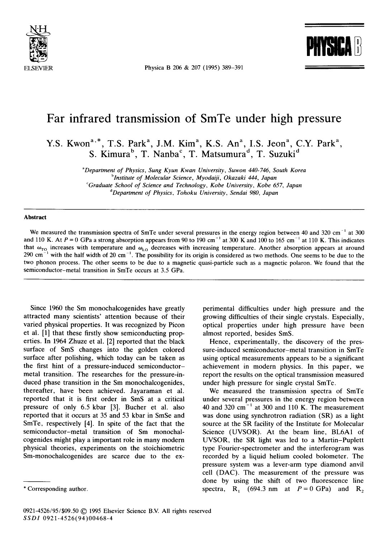

Physica B 206 & 207 (1995) 389-391



## **Far infrared transmission of SmTe under high pressure**

Y.S. Kwon<sup>a,\*</sup>, T.S. Park<sup>a</sup>, J.M. Kim<sup>a</sup>, K.S. An<sup>a</sup>, I.S. Jeon<sup>a</sup>, C.Y. Park<sup>a</sup>, S. Kimura<sup>b</sup>, T. Nanba<sup>c</sup>, T. Matsumura<sup>d</sup>, T. Suzuki<sup>d</sup>

> *"Department of Physics, Sung Kyun Kwan University, Suwon 440-746, South Korea blnstitute of Molecular Science, Myodaifi, Okazaki 444, Japan CGraduate School of Science and Technology, Kobe University, Kobe 657, Japan*

*dDepartment of Physics, Tohoku University, Sendai 980, Japan* 

## **Abstract**

We measured the transmission spectra of SmTe under several pressures in the energy region between 40 and  $320 \text{ cm}^{-1}$  at  $300$ and 110 K. At  $P = 0$  GPa a strong absorption appears from 90 to 190 cm<sup>-1</sup> at 300 K and 100 to 165 cm<sup>-1</sup> at 110 K. This indicates that  $\omega_{\rm TO}$  increases with temperature and  $\omega_{\rm LO}$  decreases with increasing temperature. Another absorption appears at around 290 cm ' with the half width of 20 cm '. The possibility for its origin is considered as two methods. One seems to be due to the two phonon process. The other seems to be due to a magnetic quasi-particle such as a magnetic polaron. We found that the semiconductor-metal transition in SmTe occurs at 3.5 GPa.

Since 1960 the Sm monochalcogenides have greatly attracted many scientists' attention because of their varied physical properties. It was recognized by Picon et al. [1] that these firstly show semiconducting properties. In 1964 Zhuze et al. [2] reported that the black surface of SmS changes into the golden colored surface after polishing, which today can be taken as the first hint of a pressure-induced semiconductormetal transition. The researches for the pressure-induced phase transition in the Sm monochalcogenides, thereafter, have been achieved. Jayaraman et al. reported that it is first order in SmS at a critical pressure of only 6.5 kbar [3]. Bucher et al. also reported that it occurs at 35 and 53 kbar in SmSe and SmTe, respectively [4]. In spite of the fact that the semiconductor-metal transition of Sm monochalcogenides might play a important role in many modern physical theories, experiments on the stoichiometric Sm-monochalcogenides are scarce due to the ex-

perimental difficulties under high pressure and the growing difficulties of their single crystals. Especially, optical properties under high pressure have been almost reported, besides SmS.

Hence, experimentally, the discovery of the pressure-induced semiconductor-metal transition in SmTe using optical measurements appears to be a significant achievement in modern physics. In this paper, we report the results on the optical transmission measured under high pressure for single crystal SmTe.

We measured the transmission spectra of SmTe under several pressures in the energy region between 40 and 320  $cm^{-1}$  at 300 and 110 K. The measurement was done using synchrotron radiation (SR) as a light source at the SR facility of the Institute for Molecular Science (UVSOR). At the beam line, BL6A1 of UVSOR, the SR light was led to a Martin-Puplett type Fourier-spectrometer and the interferogram was recorded by a liquid helium cooled bolometer. The pressure system was a lever-arm type diamond anvil cell (DAC). The measurement of the pressure was done by using the shift of two fluorescence line spectra, R<sub>1</sub> (694.3 nm at  $P=0$  GPa) and R<sub>2</sub>

<sup>\*</sup> Corresponding author.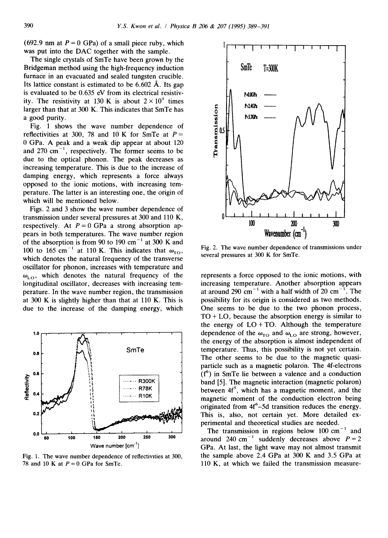(692.9 nm at  $P = 0$  GPa) of a small piece ruby, which was put into the DAC together with the sample.

The single crystals of SmTe have been grown by the Bridgeman method using the high-frequency induction furnace in an evacuated and sealed tungsten crucible. Its lattice constant is estimated to be  $6.602 \text{ Å}$ . Its gap is evaluated to be 0.635 eV from its electrical resistivity. The resistivity at 130 K is about  $2 \times 10^4$  times larger than that at 300 K. This indicates that SmTe has a good purity.

Fig. 1 shows the wave number dependence of reflectivities at 300, 78 and 10 K for SmTe at  $P =$ 0 GPa. A peak and a weak dip appear at about 120 and  $270 \text{ cm}^{-1}$ , respectively. The former seems to be due to the optical phonon. The peak decreases as increasing temperature. This is due to the increase of damping energy, which represents a force always opposed to the ionic motions, with increasing temperature. The latter is an interesting one, the origin of which will be mentioned below.

Figs. 2 and 3 show the wave number dependence of transmission under several pressures at 300 and 110 K, respectively. At  $P = 0$  GPa a strong absorption appears in both temperatures. The wave number region of the absorption is from 90 to 190 cm<sup> $-1$ </sup> at 300 K and 100 to 165 cm<sup>-1</sup> at 110 K. This indicates that  $\omega_{\text{TO}}$ , which denotes the natural frequency of the transverse oscillator for phonon, increases with temperature and  $\omega_{\text{LO}}$ , which denotes the natural frequency of the longitudinal oscillator, decreases with increasing temperature. In the wave number region, the transmission at 300 K is slightly higher than that at 110 K. This is due to the increase of the damping energy, which



Fig. 1. The wave number dependence of reflectivities at 300, 78 and 10 K at  $P=0$  GPa for SmTe.



Fig. 2. The wave number dependence of transmissions under several pressures at 300 K for SmTe.

represents a force opposed to the ionic motions, with increasing temperature. Another absorption appears at around 290 cm<sup> $-1$ </sup> with a half width of 20 cm<sup> $-1$ </sup>. The possibility for its origin is considered as two methods. One seems to be due to the two phonon process,  $TO + LO$ , because the absorption energy is similar to the energy of  $LO + TO$ . Although the temperature dependence of the  $\omega_{\text{TO}}$  and  $\omega_{\text{LO}}$  are strong, however, the energy of the absorption is almost independent of temperature. Thus, this possibility is not yet certain. The other seems to be due to the magnetic quasiparticle such as a magnetic polaron. The 4f-electrons  $(f<sup>6</sup>)$  in SmTe lie between a valence and a conduction band [5]. The magnetic interaction (magnetic polaron) between  $4f<sup>5</sup>$ , which has a magnetic moment, and the magnetic moment of the conduction electron being originated from  $4f^6 - 5d$  transition reduces the energy. This is, also, not certain yet. More detailed experimental and theoretical studies are needed.

The transmission in regions below  $100 \text{ cm}^{-1}$  and around 240 cm<sup>-1</sup> suddenly decreases above  $P = 2$ GPa. At last, the light wave may not almost transmit the sample above 2.4 GPa at 300 K and 3.5 GPa at 110 K, at which we failed the transmission measure-